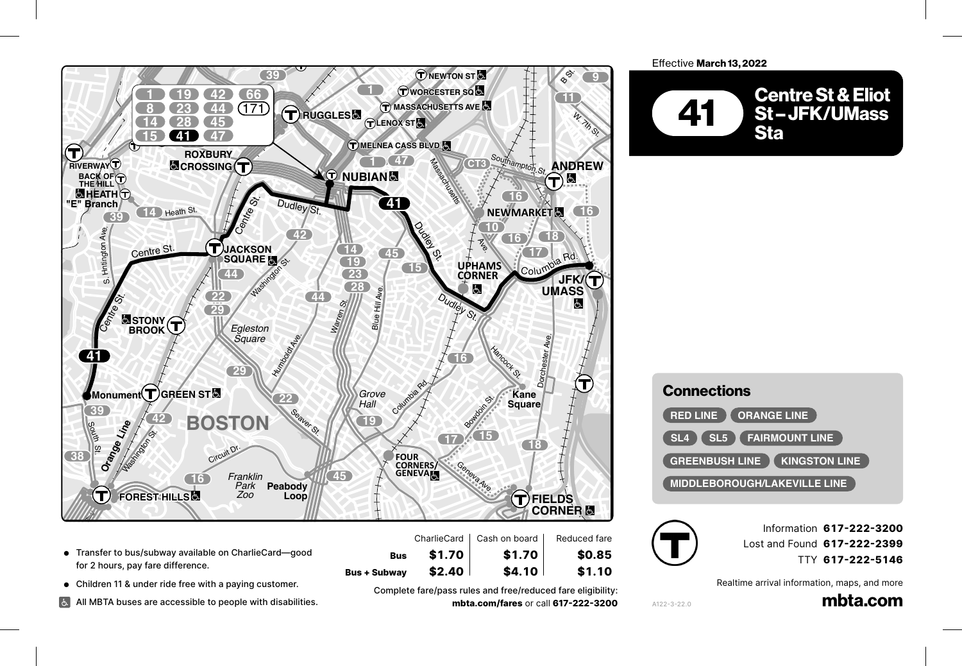

- Transfer to bus/subway available on CharlieCard—good **14** for 2 hours, pay fare difference.
- Children 11 & under ride free with a paying customer. **29**

*Roslindale Square*

Washington St.

**COOLIDGE**

**SUMMIT AVE**

**3** Crimaten in & under the tree with a paying customer.<br> **3** All MBTA buses are accessible to people with disabilities. vith<br>.

Complete fare/pass rules and free/reduced fare eligibility: **22 201 210 18** *Codman Square* **mbta.com/fares** or call **617-222-3200** 

**Bus \$1.70 \$1.70 \$0.85**

\$4.10

**Bus + Subway \$2.40 \$4.10 \$1.10** Talbot Ave.

**23**

\$2.40

Effective March 13, 2022



| <b>Connections</b>                                                  |
|---------------------------------------------------------------------|
| <b>RED LINE I ORANGE LINE</b>                                       |
| $\blacksquare$ SL5 $\blacksquare$ FAIRMOUNT LINE<br>SL <sub>4</sub> |
| <b>GREENBUSH LINE Y KINGSTON LINE</b>                               |
| <b>MIDDLEBOROUGH/LAKEVILLE LINE</b>                                 |



A122-3-22.0<br> **Red Lines** 

Information **617-222-3200** Lost and Found **617-222-2399** TTY **617-222-5146** Victory Rd.

Realtime arrival information, maps, and more<br>**mbta.com** 

mbta.com